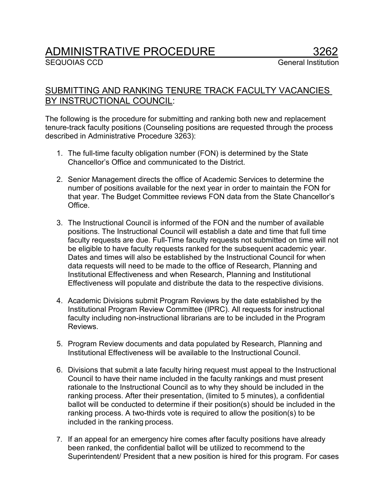## ADMINISTRATIVE PROCEDURE 3262<br>SEQUOIAS CCD General Institution

## SUBMITTING AND RANKING TENURE TRACK FACULTY VACANCIES BY INSTRUCTIONAL COUNCIL:

The following is the procedure for submitting and ranking both new and replacement tenure-track faculty positions (Counseling positions are requested through the process described in Administrative Procedure 3263):

- 1. The full-time faculty obligation number (FON) is determined by the State Chancellor's Office and communicated to the District.
- 2. Senior Management directs the office of Academic Services to determine the number of positions available for the next year in order to maintain the FON for that year. The Budget Committee reviews FON data from the State Chancellor's Office.
- 3. The Instructional Council is informed of the FON and the number of available positions. The Instructional Council will establish a date and time that full time faculty requests are due. Full-Time faculty requests not submitted on time will not be eligible to have faculty requests ranked for the subsequent academic year. Dates and times will also be established by the Instructional Council for when data requests will need to be made to the office of Research, Planning and Institutional Effectiveness and when Research, Planning and Institutional Effectiveness will populate and distribute the data to the respective divisions.
- 4. Academic Divisions submit Program Reviews by the date established by the Institutional Program Review Committee (IPRC). All requests for instructional faculty including non-instructional librarians are to be included in the Program **Reviews**
- 5. Program Review documents and data populated by Research, Planning and Institutional Effectiveness will be available to the Instructional Council.
- 6. Divisions that submit a late faculty hiring request must appeal to the Instructional Council to have their name included in the faculty rankings and must present rationale to the Instructional Council as to why they should be included in the ranking process. After their presentation, (limited to 5 minutes), a confidential ballot will be conducted to determine if their position(s) should be included in the ranking process. A two-thirds vote is required to allow the position(s) to be included in the ranking process.
- 7. If an appeal for an emergency hire comes after faculty positions have already been ranked, the confidential ballot will be utilized to recommend to the Superintendent/ President that a new position is hired for this program. For cases